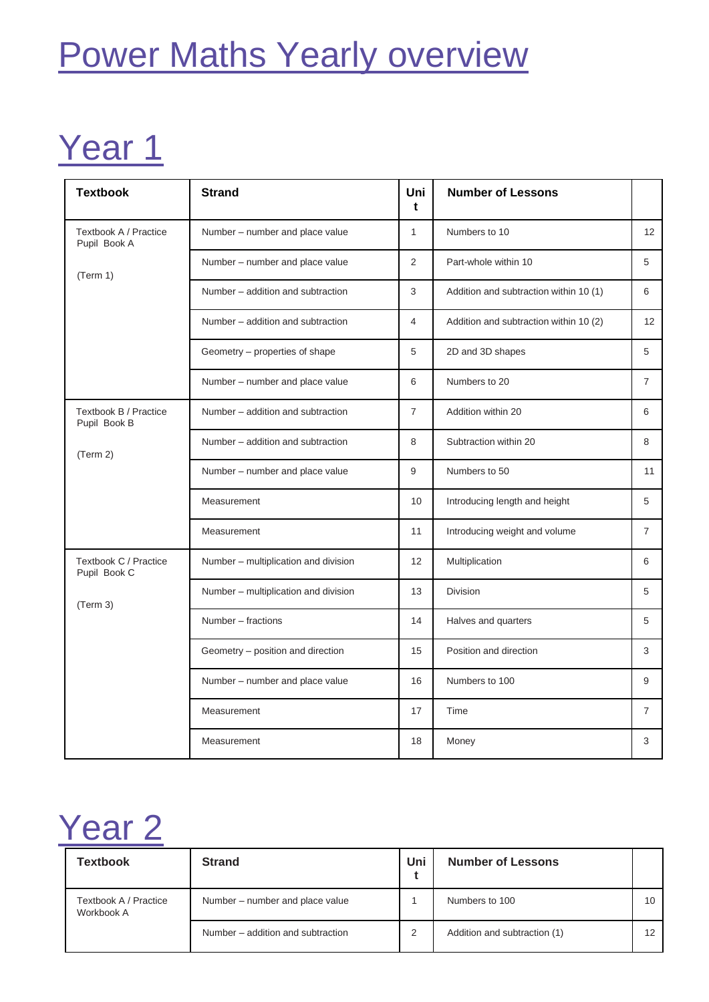# Power Maths Yearly overview

### Year 1

| <b>Textbook</b>                       | <b>Strand</b>                        | Uni<br>t       | <b>Number of Lessons</b>               |                |
|---------------------------------------|--------------------------------------|----------------|----------------------------------------|----------------|
| Textbook A / Practice<br>Pupil Book A | Number - number and place value      | $\mathbf{1}$   | Numbers to 10                          | 12             |
| (Term 1)                              | Number - number and place value      | 2              | Part-whole within 10                   | 5              |
|                                       | Number - addition and subtraction    | 3              | Addition and subtraction within 10 (1) | 6              |
|                                       | Number – addition and subtraction    | 4              | Addition and subtraction within 10 (2) | 12             |
|                                       | Geometry – properties of shape       | 5              | 2D and 3D shapes                       | 5              |
|                                       | Number - number and place value      | 6              | Numbers to 20                          | $\overline{7}$ |
| Textbook B / Practice<br>Pupil Book B | Number - addition and subtraction    | $\overline{7}$ | Addition within 20                     | 6              |
| (Term 2)                              | Number - addition and subtraction    | 8              | Subtraction within 20                  | 8              |
|                                       | Number - number and place value      | 9              | Numbers to 50                          | 11             |
|                                       | Measurement                          | 10             | Introducing length and height          | 5              |
|                                       | Measurement                          | 11             | Introducing weight and volume          | $\overline{7}$ |
| Textbook C / Practice<br>Pupil Book C | Number - multiplication and division | 12             | Multiplication                         | 6              |
| (Term 3)                              | Number - multiplication and division | 13             | Division                               | 5              |
|                                       | Number - fractions                   | 14             | Halves and quarters                    | 5              |
|                                       | Geometry - position and direction    | 15             | Position and direction                 | 3              |
|                                       | Number - number and place value      | 16             | Numbers to 100                         | 9              |
|                                       | Measurement                          | 17             | Time                                   | 7              |
|                                       | Measurement                          | 18             | Money                                  | 3              |

#### Year<sub>2</sub>

| <b>Textbook</b>                     | <b>Strand</b>                     | Uni | <b>Number of Lessons</b>     |    |
|-------------------------------------|-----------------------------------|-----|------------------------------|----|
| Textbook A / Practice<br>Workbook A | Number – number and place value   |     | Numbers to 100               | 10 |
|                                     | Number – addition and subtraction |     | Addition and subtraction (1) | 12 |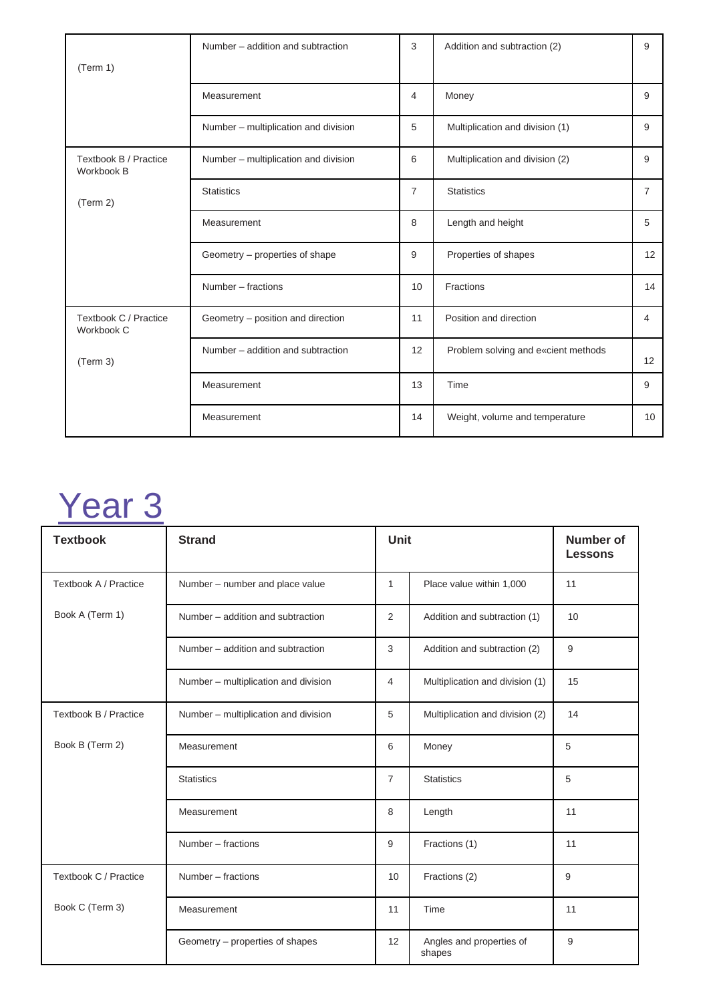|                                     | Number – addition and subtraction    | 3              | Addition and subtraction (2)        | 9              |
|-------------------------------------|--------------------------------------|----------------|-------------------------------------|----------------|
| (Term 1)                            |                                      |                |                                     |                |
|                                     | Measurement                          | 4              | Money                               | 9              |
|                                     | Number - multiplication and division | 5              | Multiplication and division (1)     | 9              |
| Textbook B / Practice<br>Workbook B | Number - multiplication and division | 6              | Multiplication and division (2)     | 9              |
| (Term 2)                            | <b>Statistics</b>                    | $\overline{7}$ | <b>Statistics</b>                   | $\overline{7}$ |
|                                     | Measurement                          | 8              | Length and height                   | 5              |
|                                     | Geometry – properties of shape       | 9              | Properties of shapes                | 12             |
|                                     | Number - fractions                   | 10             | Fractions                           | 14             |
| Textbook C / Practice<br>Workbook C | Geometry - position and direction    | 11             | Position and direction              | 4              |
| (Term 3)                            | Number – addition and subtraction    | 12             | Problem solving and e«cient methods | 12             |
|                                     | Measurement                          | 13             | Time                                | 9              |
|                                     | Measurement                          | 14             | Weight, volume and temperature      | 10             |

# Year 3

| <b>Textbook</b>       | <b>Strand</b>                        | <b>Unit</b>    |                                    | <b>Number of</b><br><b>Lessons</b> |
|-----------------------|--------------------------------------|----------------|------------------------------------|------------------------------------|
| Textbook A / Practice | Number - number and place value      | 1              | Place value within 1,000           | 11                                 |
| Book A (Term 1)       | Number - addition and subtraction    | 2              | Addition and subtraction (1)       | 10                                 |
|                       | Number - addition and subtraction    | 3              | Addition and subtraction (2)       | 9                                  |
|                       | Number - multiplication and division | 4              | Multiplication and division (1)    | 15                                 |
| Textbook B / Practice | Number - multiplication and division | 5              | Multiplication and division (2)    | 14                                 |
| Book B (Term 2)       | Measurement                          | 6              | Money                              | 5                                  |
|                       | <b>Statistics</b>                    | $\overline{7}$ | <b>Statistics</b>                  | 5                                  |
|                       | Measurement                          | 8              | Length                             | 11                                 |
|                       | Number - fractions                   | 9              | Fractions (1)                      | 11                                 |
| Textbook C / Practice | Number - fractions                   | 10             | Fractions (2)                      | 9                                  |
| Book C (Term 3)       | Measurement                          | 11             | Time                               | 11                                 |
|                       | Geometry – properties of shapes      | 12             | Angles and properties of<br>shapes | 9                                  |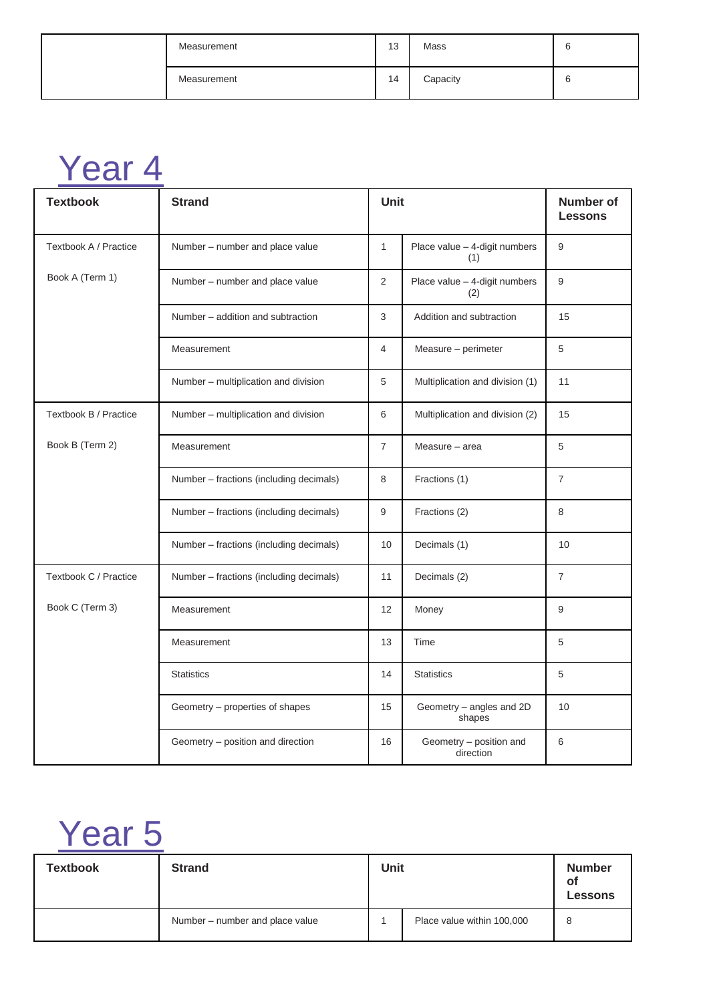| Measurement | 13 | Mass     |  |
|-------------|----|----------|--|
| Measurement | 14 | Capacity |  |

#### Year 4

| <b>Textbook</b>       | <b>Strand</b>                           | Unit           |                                      | <b>Number of</b><br><b>Lessons</b> |
|-----------------------|-----------------------------------------|----------------|--------------------------------------|------------------------------------|
| Textbook A / Practice | Number - number and place value         | $\mathbf{1}$   | Place value - 4-digit numbers<br>(1) | 9                                  |
| Book A (Term 1)       | Number - number and place value         | $\overline{2}$ | Place value - 4-digit numbers<br>(2) | 9                                  |
|                       | Number - addition and subtraction       | 3              | Addition and subtraction             | 15                                 |
|                       | Measurement                             | $\overline{4}$ | Measure - perimeter                  | 5                                  |
|                       | Number - multiplication and division    | 5              | Multiplication and division (1)      | 11                                 |
| Textbook B / Practice | Number - multiplication and division    | 6              | Multiplication and division (2)      | 15                                 |
| Book B (Term 2)       | Measurement                             | $\overline{7}$ | Measure - area                       | 5                                  |
|                       | Number - fractions (including decimals) | 8              | Fractions (1)                        | $\overline{7}$                     |
|                       | Number - fractions (including decimals) | 9              | Fractions (2)                        | 8                                  |
|                       | Number - fractions (including decimals) | 10             | Decimals (1)                         | 10                                 |
| Textbook C / Practice | Number – fractions (including decimals) | 11             | Decimals (2)                         | $\overline{7}$                     |
| Book C (Term 3)       | Measurement                             | 12             | Money                                | 9                                  |
|                       | Measurement                             | 13             | Time                                 | 5                                  |
|                       | <b>Statistics</b>                       | 14             | <b>Statistics</b>                    | 5                                  |
|                       | Geometry - properties of shapes         | 15             | Geometry - angles and 2D<br>shapes   | 10                                 |
|                       | Geometry - position and direction       | 16             | Geometry - position and<br>direction | 6                                  |

### Year 5

| <b>Textbook</b> | <b>Strand</b>                   | Unit |                            | <b>Number</b><br>οf<br><b>Lessons</b> |
|-----------------|---------------------------------|------|----------------------------|---------------------------------------|
|                 | Number - number and place value |      | Place value within 100,000 | 8                                     |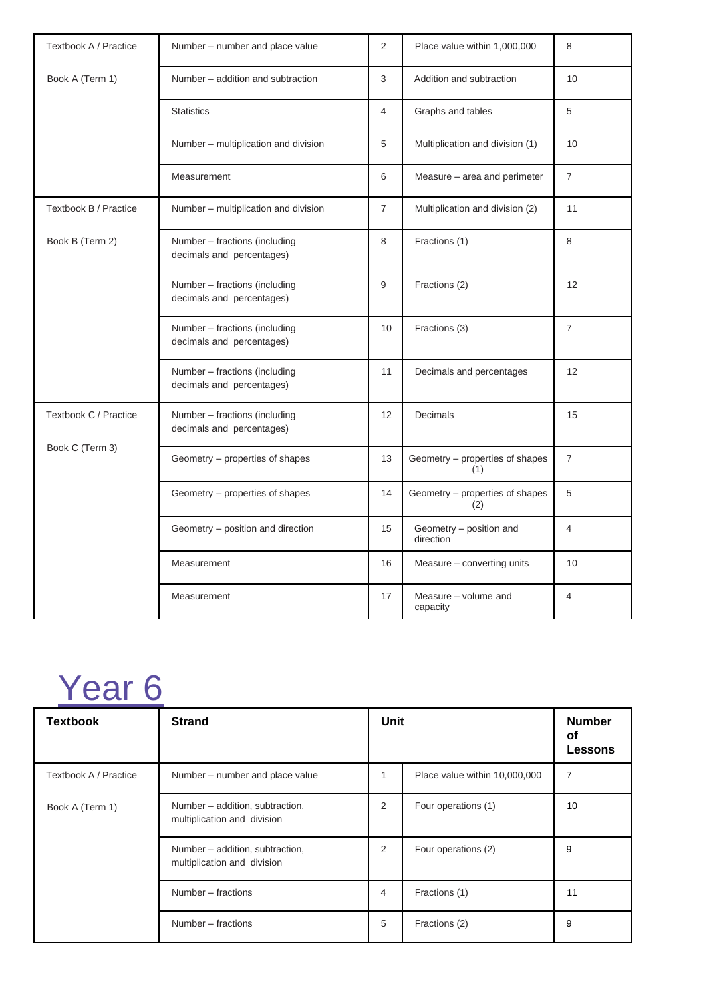| Textbook A / Practice | Number – number and place value                            | 2              | Place value within 1,000,000           | 8              |
|-----------------------|------------------------------------------------------------|----------------|----------------------------------------|----------------|
| Book A (Term 1)       | Number – addition and subtraction                          | 3              | Addition and subtraction               | 10             |
|                       | <b>Statistics</b>                                          | $\overline{4}$ | Graphs and tables                      | 5              |
|                       | Number - multiplication and division                       | 5              | Multiplication and division (1)        | 10             |
|                       | Measurement                                                | 6              | Measure – area and perimeter           | 7              |
| Textbook B / Practice | Number - multiplication and division                       | $\overline{7}$ | Multiplication and division (2)        | 11             |
| Book B (Term 2)       | Number - fractions (including<br>decimals and percentages) | 8              | Fractions (1)                          | 8              |
|                       | Number - fractions (including<br>decimals and percentages) | 9              | Fractions (2)                          | 12             |
|                       | Number - fractions (including<br>decimals and percentages) | 10             | Fractions (3)                          | $\overline{7}$ |
|                       | Number - fractions (including<br>decimals and percentages) | 11             | Decimals and percentages               | 12             |
| Textbook C / Practice | Number - fractions (including<br>decimals and percentages) | 12             | Decimals                               | 15             |
| Book C (Term 3)       | Geometry – properties of shapes                            | 13             | Geometry - properties of shapes<br>(1) | $\overline{7}$ |
|                       | Geometry – properties of shapes                            | 14             | Geometry - properties of shapes<br>(2) | 5              |
|                       | Geometry - position and direction                          | 15             | Geometry - position and<br>direction   | $\overline{4}$ |
|                       | Measurement                                                | 16             | Measure - converting units             | 10             |
|                       | Measurement                                                | 17             | Measure - volume and<br>capacity       | $\overline{4}$ |

#### Year 6

| <b>Textbook</b>       | <b>Strand</b>                                                  | Unit |                               | <b>Number</b><br>οf<br><b>Lessons</b> |
|-----------------------|----------------------------------------------------------------|------|-------------------------------|---------------------------------------|
| Textbook A / Practice | Number – number and place value                                | 1    | Place value within 10,000,000 | 7                                     |
| Book A (Term 1)       | Number - addition, subtraction,<br>multiplication and division | 2    | Four operations (1)           | 10                                    |
|                       | Number - addition, subtraction,<br>multiplication and division | 2    | Four operations (2)           | 9                                     |
|                       | Number – fractions                                             | 4    | Fractions (1)                 | 11                                    |
|                       | Number – fractions                                             | 5    | Fractions (2)                 | 9                                     |